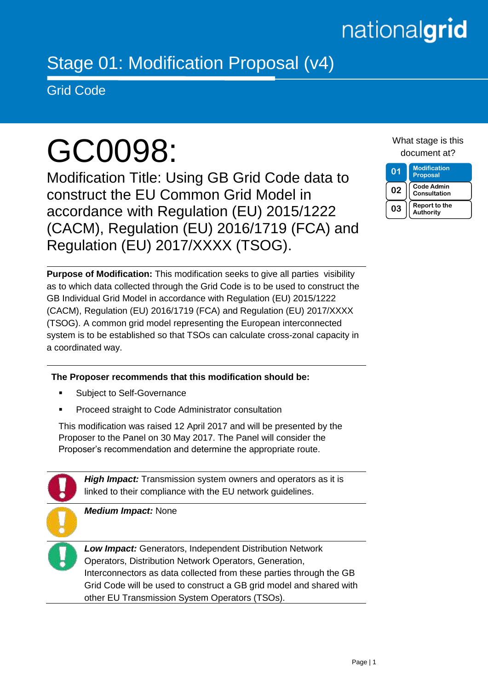## nationalgrid

### Stage 01: Modification Proposal (v4)

Grid Code

# GC0098:

Modification Title: Using GB Grid Code data to construct the EU Common Grid Model in accordance with Regulation (EU) 2015/1222 (CACM), Regulation (EU) 2016/1719 (FCA) and Regulation (EU) 2017/XXXX (TSOG).

**Purpose of Modification:** This modification seeks to give all parties visibility as to which data collected through the Grid Code is to be used to construct the GB Individual Grid Model in accordance with Regulation (EU) 2015/1222 (CACM), Regulation (EU) 2016/1719 (FCA) and Regulation (EU) 2017/XXXX (TSOG). A common grid model representing the European interconnected system is to be established so that TSOs can calculate cross-zonal capacity in a coordinated way.

**The Proposer recommends that this modification should be:**

- **Subject to Self-Governance**
- Proceed straight to Code Administrator consultation

This modification was raised 12 April 2017 and will be presented by the Proposer to the Panel on 30 May 2017. The Panel will consider the Proposer's recommendation and determine the appropriate route.

*High Impact:* Transmission system owners and operators as it is linked to their compliance with the EU network guidelines.

*Medium Impact:* None

*Low Impact:* Generators, Independent Distribution Network Operators, Distribution Network Operators, Generation, Interconnectors as data collected from these parties through the GB Grid Code will be used to construct a GB grid model and shared with other EU Transmission System Operators (TSOs).

What stage is this document at?

**01 Modification Proposal 02 Code Admin Consultation 03 Report to the Authority**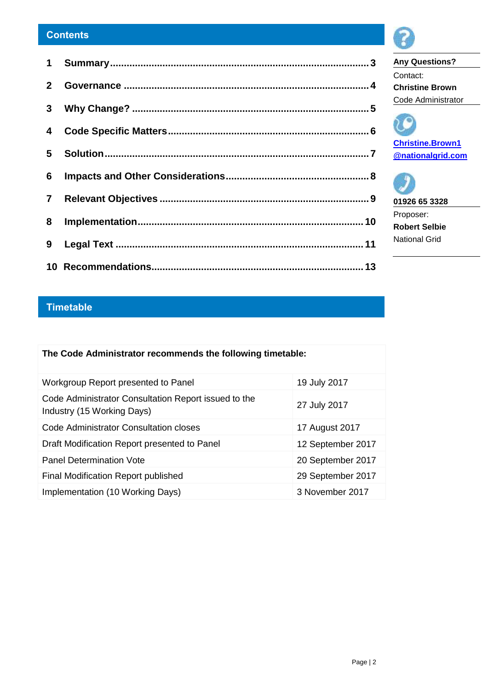#### **Contents**

#### **Timetable**

| The Code Administrator recommends the following timetable:                         |                   |  |  |
|------------------------------------------------------------------------------------|-------------------|--|--|
| Workgroup Report presented to Panel                                                | 19 July 2017      |  |  |
| Code Administrator Consultation Report issued to the<br>Industry (15 Working Days) | 27 July 2017      |  |  |
| Code Administrator Consultation closes                                             | 17 August 2017    |  |  |
| Draft Modification Report presented to Panel                                       | 12 September 2017 |  |  |
| <b>Panel Determination Vote</b>                                                    | 20 September 2017 |  |  |
| Final Modification Report published                                                | 29 September 2017 |  |  |
| Implementation (10 Working Days)                                                   | 3 November 2017   |  |  |



**Any Questions?** Contact: **Christine Brown** Code Administrator



**01926 65 3328** Proposer: **Robert Selbie**

National Grid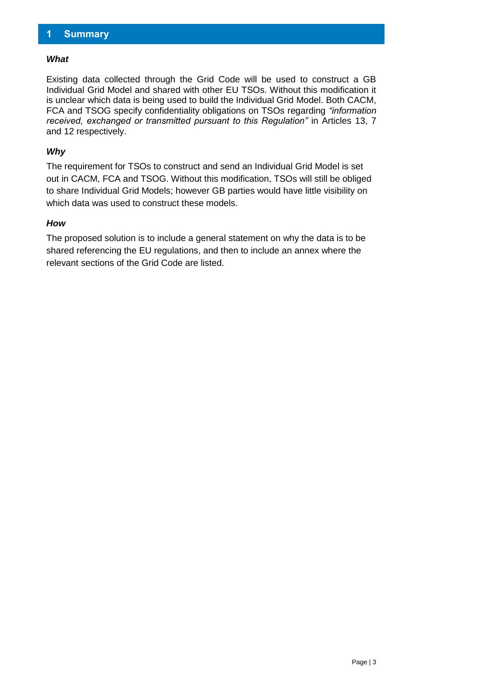#### <span id="page-2-0"></span>**1 Summary**

#### *What*

Existing data collected through the Grid Code will be used to construct a GB Individual Grid Model and shared with other EU TSOs. Without this modification it is unclear which data is being used to build the Individual Grid Model. Both CACM, FCA and TSOG specify confidentiality obligations on TSOs regarding *"information received, exchanged or transmitted pursuant to this Regulation*" in Articles 13, 7 and 12 respectively.

#### *Why*

The requirement for TSOs to construct and send an Individual Grid Model is set out in CACM, FCA and TSOG. Without this modification, TSOs will still be obliged to share Individual Grid Models; however GB parties would have little visibility on which data was used to construct these models.

#### *How*

The proposed solution is to include a general statement on why the data is to be shared referencing the EU regulations, and then to include an annex where the relevant sections of the Grid Code are listed.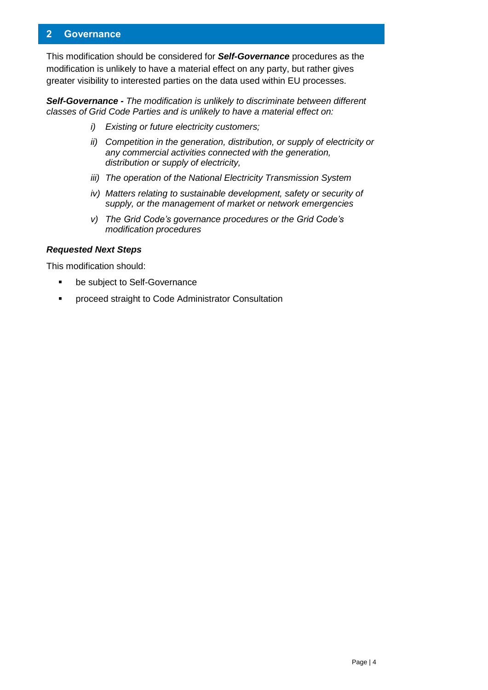#### <span id="page-3-0"></span>**2 Governance**

This modification should be considered for *Self-Governance* procedures as the modification is unlikely to have a material effect on any party, but rather gives greater visibility to interested parties on the data used within EU processes.

*Self-Governance - The modification is unlikely to discriminate between different classes of Grid Code Parties and is unlikely to have a material effect on:*

- *i) Existing or future electricity customers;*
- *ii) Competition in the generation, distribution, or supply of electricity or any commercial activities connected with the generation, distribution or supply of electricity,*
- *iii) The operation of the National Electricity Transmission System*
- *iv) Matters relating to sustainable development, safety or security of supply, or the management of market or network emergencies*
- *v) The Grid Code's governance procedures or the Grid Code's modification procedures*

#### *Requested Next Steps*

This modification should:

- **•** be subject to Self-Governance
- proceed straight to Code Administrator Consultation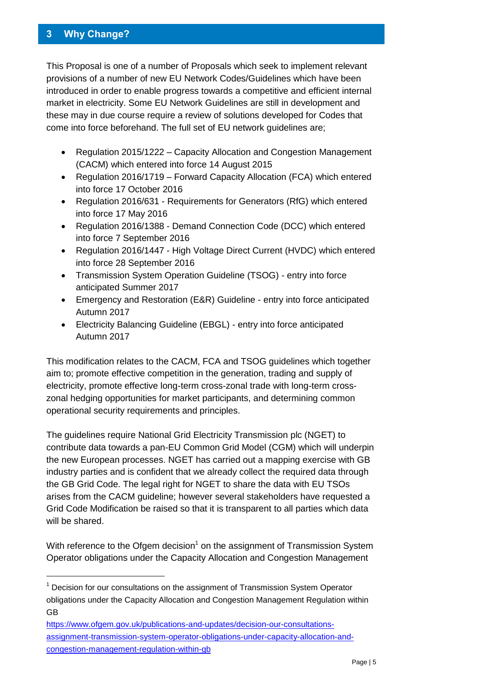#### <span id="page-4-0"></span>**3 Why Change?**

-

This Proposal is one of a number of Proposals which seek to implement relevant provisions of a number of new EU Network Codes/Guidelines which have been introduced in order to enable progress towards a competitive and efficient internal market in electricity. Some EU Network Guidelines are still in development and these may in due course require a review of solutions developed for Codes that come into force beforehand. The full set of EU network guidelines are;

- Regulation 2015/1222 Capacity Allocation and Congestion Management (CACM) which entered into force 14 August 2015
- Regulation 2016/1719 Forward Capacity Allocation (FCA) which entered into force 17 October 2016
- Regulation 2016/631 Requirements for Generators (RfG) which entered into force 17 May 2016
- Regulation 2016/1388 Demand Connection Code (DCC) which entered into force 7 September 2016
- Regulation 2016/1447 High Voltage Direct Current (HVDC) which entered into force 28 September 2016
- Transmission System Operation Guideline (TSOG) entry into force anticipated Summer 2017
- Emergency and Restoration (E&R) Guideline entry into force anticipated Autumn 2017
- Electricity Balancing Guideline (EBGL) entry into force anticipated Autumn 2017

This modification relates to the CACM, FCA and TSOG guidelines which together aim to; promote effective competition in the generation, trading and supply of electricity, promote effective long-term cross-zonal trade with long-term crosszonal hedging opportunities for market participants, and determining common operational security requirements and principles.

The guidelines require National Grid Electricity Transmission plc (NGET) to contribute data towards a pan-EU Common Grid Model (CGM) which will underpin the new European processes. NGET has carried out a mapping exercise with GB industry parties and is confident that we already collect the required data through the GB Grid Code. The legal right for NGET to share the data with EU TSOs arises from the CACM guideline; however several stakeholders have requested a Grid Code Modification be raised so that it is transparent to all parties which data will be shared.

With reference to the Ofgem decision<sup>1</sup> on the assignment of Transmission System Operator obligations under the Capacity Allocation and Congestion Management

[https://www.ofgem.gov.uk/publications-and-updates/decision-our-consultations](https://www.ofgem.gov.uk/publications-and-updates/decision-our-consultations-assignment-transmission-system-operator-obligations-under-capacity-allocation-and-congestion-management-regulation-within-gb)[assignment-transmission-system-operator-obligations-under-capacity-allocation-and](https://www.ofgem.gov.uk/publications-and-updates/decision-our-consultations-assignment-transmission-system-operator-obligations-under-capacity-allocation-and-congestion-management-regulation-within-gb)[congestion-management-regulation-within-gb](https://www.ofgem.gov.uk/publications-and-updates/decision-our-consultations-assignment-transmission-system-operator-obligations-under-capacity-allocation-and-congestion-management-regulation-within-gb) 

 $1$  Decision for our consultations on the assignment of Transmission System Operator obligations under the Capacity Allocation and Congestion Management Regulation within GB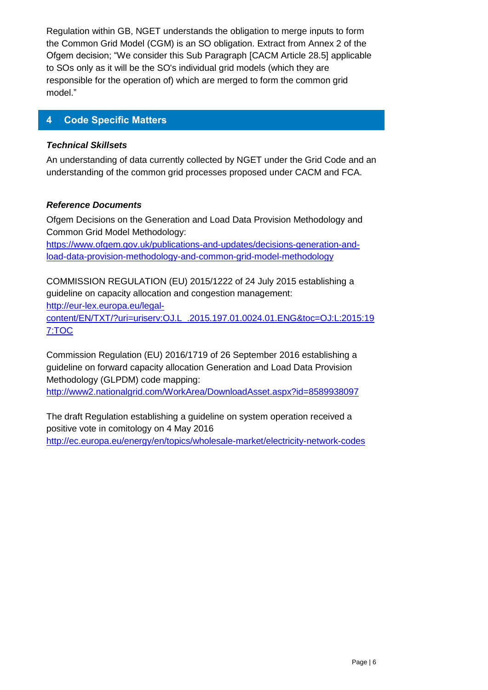Regulation within GB, NGET understands the obligation to merge inputs to form the Common Grid Model (CGM) is an SO obligation. Extract from Annex 2 of the Ofgem decision; "We consider this Sub Paragraph [CACM Article 28.5] applicable to SOs only as it will be the SO's individual grid models (which they are responsible for the operation of) which are merged to form the common grid model."

#### <span id="page-5-0"></span>**4 Code Specific Matters**

#### *Technical Skillsets*

An understanding of data currently collected by NGET under the Grid Code and an understanding of the common grid processes proposed under CACM and FCA.

#### *Reference Documents*

Ofgem Decisions on the Generation and Load Data Provision Methodology and Common Grid Model Methodology:

[https://www.ofgem.gov.uk/publications-and-updates/decisions-generation-and](https://www.ofgem.gov.uk/publications-and-updates/decisions-generation-and-load-data-provision-methodology-and-common-grid-model-methodology)[load-data-provision-methodology-and-common-grid-model-methodology](https://www.ofgem.gov.uk/publications-and-updates/decisions-generation-and-load-data-provision-methodology-and-common-grid-model-methodology)

COMMISSION REGULATION (EU) 2015/1222 of 24 July 2015 establishing a guideline on capacity allocation and congestion management: [http://eur-lex.europa.eu/legal](http://eur-lex.europa.eu/legal-content/EN/TXT/?uri=uriserv:OJ.L_.2015.197.01.0024.01.ENG&toc=OJ:L:2015:197:TOC)[content/EN/TXT/?uri=uriserv:OJ.L\\_.2015.197.01.0024.01.ENG&toc=OJ:L:2015:19](http://eur-lex.europa.eu/legal-content/EN/TXT/?uri=uriserv:OJ.L_.2015.197.01.0024.01.ENG&toc=OJ:L:2015:197:TOC) [7:TOC](http://eur-lex.europa.eu/legal-content/EN/TXT/?uri=uriserv:OJ.L_.2015.197.01.0024.01.ENG&toc=OJ:L:2015:197:TOC)

Commission Regulation (EU) 2016/1719 of 26 September 2016 establishing a guideline on forward capacity allocation Generation and Load Data Provision Methodology (GLPDM) code mapping:

<http://www2.nationalgrid.com/WorkArea/DownloadAsset.aspx?id=8589938097>

The draft Regulation establishing a guideline on system operation received a positive vote in comitology on 4 May 2016 <http://ec.europa.eu/energy/en/topics/wholesale-market/electricity-network-codes>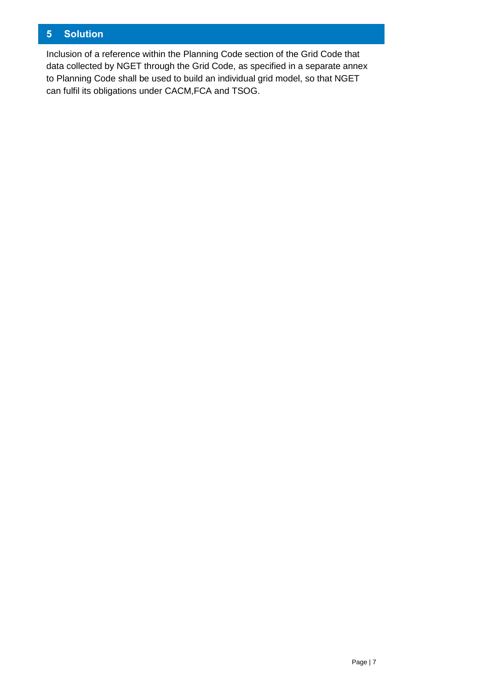#### <span id="page-6-0"></span>**5 Solution**

Inclusion of a reference within the Planning Code section of the Grid Code that data collected by NGET through the Grid Code, as specified in a separate annex to Planning Code shall be used to build an individual grid model, so that NGET can fulfil its obligations under CACM,FCA and TSOG.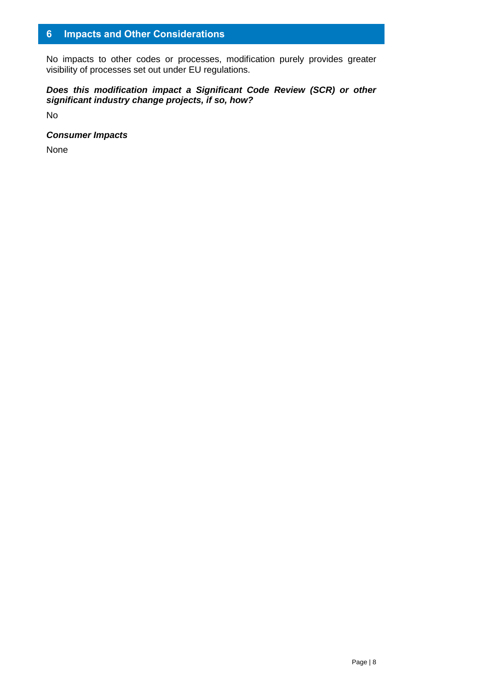#### <span id="page-7-0"></span>**6 Impacts and Other Considerations**

No impacts to other codes or processes, modification purely provides greater visibility of processes set out under EU regulations.

#### *Does this modification impact a Significant Code Review (SCR) or other significant industry change projects, if so, how?*

No

#### *Consumer Impacts*

None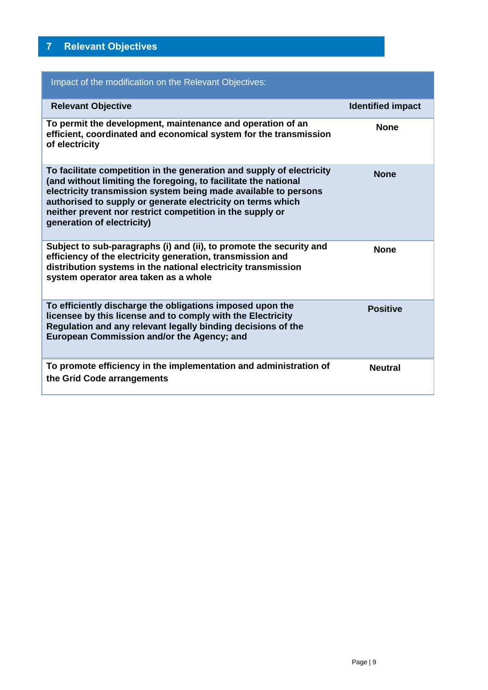#### <span id="page-8-0"></span>**7 Relevant Objectives**

| Impact of the modification on the Relevant Objectives:                                                                                                                                                                                                                                                                                                                |                          |
|-----------------------------------------------------------------------------------------------------------------------------------------------------------------------------------------------------------------------------------------------------------------------------------------------------------------------------------------------------------------------|--------------------------|
| <b>Relevant Objective</b>                                                                                                                                                                                                                                                                                                                                             | <b>Identified impact</b> |
| To permit the development, maintenance and operation of an<br>efficient, coordinated and economical system for the transmission<br>of electricity                                                                                                                                                                                                                     | <b>None</b>              |
| To facilitate competition in the generation and supply of electricity<br>(and without limiting the foregoing, to facilitate the national<br>electricity transmission system being made available to persons<br>authorised to supply or generate electricity on terms which<br>neither prevent nor restrict competition in the supply or<br>generation of electricity) | <b>None</b>              |
| Subject to sub-paragraphs (i) and (ii), to promote the security and<br>efficiency of the electricity generation, transmission and<br>distribution systems in the national electricity transmission<br>system operator area taken as a whole                                                                                                                           | <b>None</b>              |
| To efficiently discharge the obligations imposed upon the<br>licensee by this license and to comply with the Electricity<br>Regulation and any relevant legally binding decisions of the<br>European Commission and/or the Agency; and                                                                                                                                | <b>Positive</b>          |
| To promote efficiency in the implementation and administration of<br>the Grid Code arrangements                                                                                                                                                                                                                                                                       | <b>Neutral</b>           |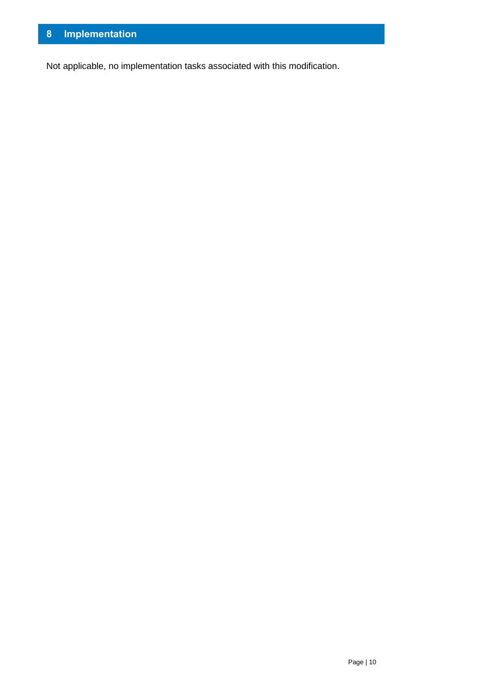<span id="page-9-0"></span>Not applicable, no implementation tasks associated with this modification.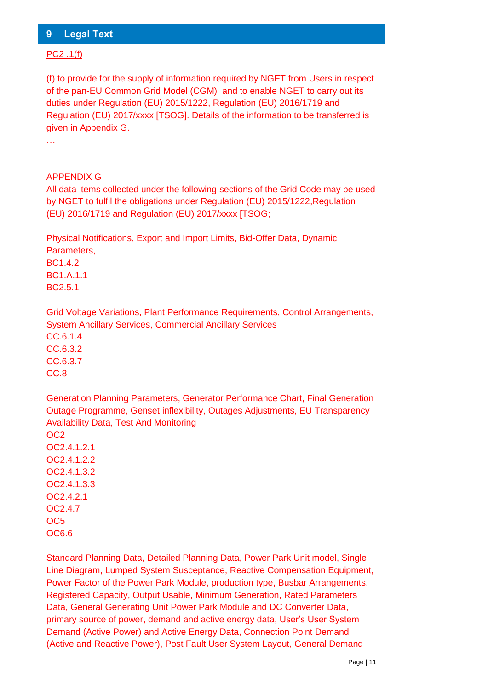#### <span id="page-10-0"></span>**9 Legal Text**

#### PC2 .1(f)

(f) to provide for the supply of information required by NGET from Users in respect of the pan-EU Common Grid Model (CGM) and to enable NGET to carry out its duties under Regulation (EU) 2015/1222, Regulation (EU) 2016/1719 and Regulation (EU) 2017/xxxx [TSOG]. Details of the information to be transferred is given in Appendix G.

…

#### APPENDIX G

All data items collected under the following sections of the Grid Code may be used by NGET to fulfil the obligations under Regulation (EU) 2015/1222,Regulation (EU) 2016/1719 and Regulation (EU) 2017/xxxx [TSOG;

Physical Notifications, Export and Import Limits, Bid-Offer Data, Dynamic Parameters,

BC1.4.2 BC1.A.1.1 BC2.5.1

Grid Voltage Variations, Plant Performance Requirements, Control Arrangements, System Ancillary Services, Commercial Ancillary Services CC.6.1.4 CC.6.3.2 CC.6.3.7 CC.8

Generation Planning Parameters, Generator Performance Chart, Final Generation Outage Programme, Genset inflexibility, Outages Adjustments, EU Transparency Availability Data, Test And Monitoring OC2

OC2.4.1.2.1 OC2.4.1.2.2 OC2.4.1.3.2 OC2.4.1.3.3 OC2.4.2.1 OC2.4.7 OC5 OC6.6

Standard Planning Data, Detailed Planning Data, Power Park Unit model, Single Line Diagram, Lumped System Susceptance, Reactive Compensation Equipment, Power Factor of the Power Park Module, production type, Busbar Arrangements, Registered Capacity, Output Usable, Minimum Generation, Rated Parameters Data, General Generating Unit Power Park Module and DC Converter Data, primary source of power, demand and active energy data, User's User System Demand (Active Power) and Active Energy Data, Connection Point Demand (Active and Reactive Power), Post Fault User System Layout, General Demand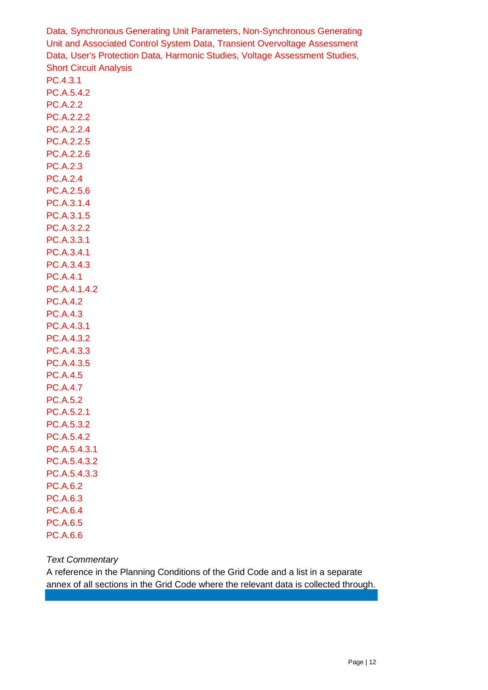Data, Synchronous Generating Unit Parameters, Non-Synchronous Generating Unit and Associated Control System Data, Transient Overvoltage Assessment Data, User's Protection Data, Harmonic Studies, Voltage Assessment Studies, Short Circuit Analysis

PC.4.3.1 PC.A.5.4.2

PC.A.2.2 PC.A.2.2.2 PC.A.2.2.4 PC.A.2.2.5 PC.A.2.2.6 PC.A.2.3 PC.A.2.4 PC.A.2.5.6 PC.A.3.1.4 PC.A.3.1.5 PC.A.3.2.2 PC.A.3.3.1 PC.A.3.4.1 PC.A.3.4.3 PC.A.4.1 PC.A.4.1.4.2 PC.A.4.2 PC.A.4.3 PC.A.4.3.1 PC.A.4.3.2 PC.A.4.3.3 PC.A.4.3.5 PC.A.4.5 PC.A.4.7 PC.A.5.2 PC.A.5.2.1 PC.A.5.3.2 PC.A.5.4.2 PC.A.5.4.3.1 PC.A.5.4.3.2 PC.A.5.4.3.3 PC.A.6.2 PC.A.6.3 PC.A.6.4 PC.A.6.5 PC.A.6.6

#### *Text Commentary*

<span id="page-11-0"></span>A reference in the Planning Conditions of the Grid Code and a list in a separate annex of all sections in the Grid Code where the relevant data is collected through.